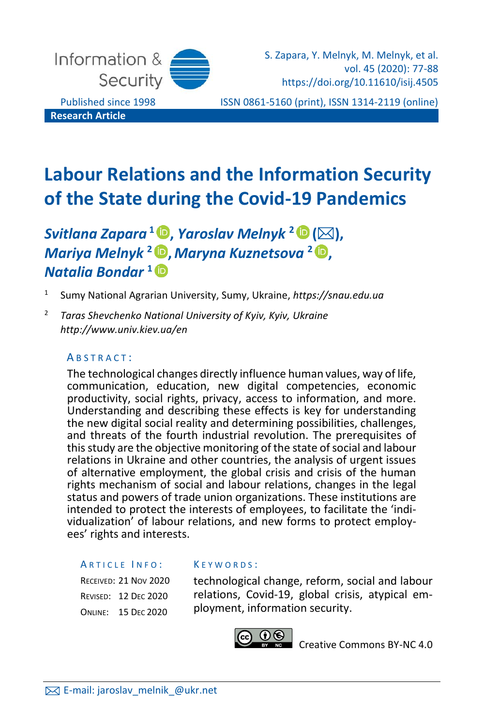

S. Zapara, Y. Melnyk, M. Melnyk, et al. vol. 45 (2020): 77-88 https://doi.org/10.11610/isij.4505

Published since 1998 ISSN 0861-5160 (print), ISSN 1314-2119 (online)

# **Labour Relations and the Information Security of the State during the Covid-19 Pandemics**

## *Svitlana Zapara* **<sup>1</sup> [,](https://orcid.org/0000-0002-3586-906X)** *Yaroslav Melnyk* **<sup>2</sup> (),** *Mariya Melnyk* **<sup>2</sup> [,](https://orcid.org/0000-0002-1581-335X)***Maryna Kuznetsova* **<sup>2</sup> [,](https://orcid.org/0000-0003-1024-751X)** *Natalia Bondar* **<sup>1</sup>**

- 1 Sumy National Agrarian University, Sumy, Ukraine, *https://snau.edu.ua*
- <sup>2</sup> *Taras Shevchenko National University of Kyiv, Kyiv, Ukraine http://www.univ.kiev.ua/en*

## A B S T R A C T :

The technological changes directly influence human values, way of life, communication, education, new digital competencies, economic productivity, social rights, privacy, access to information, and more. Understanding and describing these effects is key for understanding the new digital social reality and determining possibilities, challenges, and threats of the fourth industrial revolution. The prerequisites of this study are the objective monitoring of the state of social and labour relations in Ukraine and other countries, the analysis of urgent issues of alternative employment, the global crisis and crisis of the human rights mechanism of social and labour relations, changes in the legal status and powers of trade union organizations. These institutions are intended to protect the interests of employees, to facilitate the 'individualization' of labour relations, and new forms to protect employees' rights and interests.

#### ARTICLE INFO:

RECEIVED: 21 NOV 2020 REVISED: 12 DEC 2020 ONLINE: 15 DEC 2020

#### K E Y W O R D S :

technological change, reform, social and labour relations, Covid-19, global crisis, atypical employment, information security.



[Creative Commons BY-NC 4.0](https://creativecommons.org/licenses/by-nc/4.0/legalcode)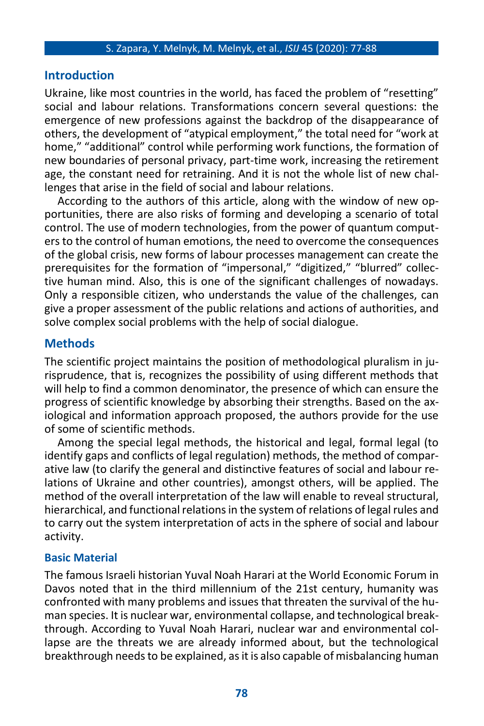## **Introduction**

Ukraine, like most countries in the world, has faced the problem of "resetting" social and labour relations. Transformations concern several questions: the emergence of new professions against the backdrop of the disappearance of others, the development of "atypical employment," the total need for "work at home," "additional" control while performing work functions, the formation of new boundaries of personal privacy, part-time work, increasing the retirement age, the constant need for retraining. And it is not the whole list of new challenges that arise in the field of social and labour relations.

According to the authors of this article, along with the window of new opportunities, there are also risks of forming and developing a scenario of total control. The use of modern technologies, from the power of quantum computers to the control of human emotions, the need to overcome the consequences of the global crisis, new forms of labour processes management can create the prerequisites for the formation of "impersonal," "digitized," "blurred" collective human mind. Also, this is one of the significant challenges of nowadays. Only a responsible citizen, who understands the value of the challenges, can give a proper assessment of the public relations and actions of authorities, and solve complex social problems with the help of social dialogue.

## **Methods**

The scientific project maintains the position of methodological pluralism in jurisprudence, that is, recognizes the possibility of using different methods that will help to find a common denominator, the presence of which can ensure the progress of scientific knowledge by absorbing their strengths. Based on the axiological and information approach proposed, the authors provide for the use of some of scientific methods.

Among the special legal methods, the historical and legal, formal legal (to identify gaps and conflicts of legal regulation) methods, the method of comparative law (to clarify the general and distinctive features of social and labour relations of Ukraine and other countries), amongst others, will be applied. The method of the overall interpretation of the law will enable to reveal structural, hierarchical, and functional relations in the system of relations of legal rules and to carry out the system interpretation of acts in the sphere of social and labour activity.

## **Basic Material**

The famous Israeli historian Yuval Noah Harari at the World Economic Forum in Davos noted that in the third millennium of the 21st century, humanity was confronted with many problems and issues that threaten the survival of the human species. It is nuclear war, environmental collapse, and technological breakthrough. According to Yuval Noah Harari, nuclear war and environmental collapse are the threats we are already informed about, but the technological breakthrough needs to be explained, as it is also capable of misbalancing human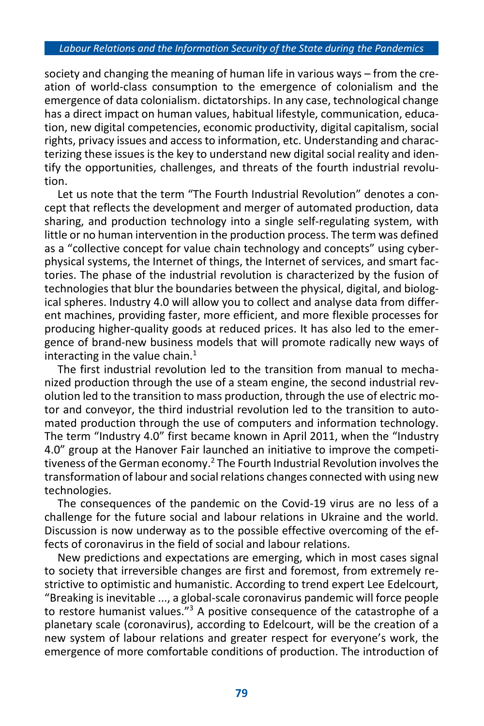society and changing the meaning of human life in various ways – from the creation of world-class consumption to the emergence of colonialism and the emergence of data colonialism. dictatorships. In any case, technological change has a direct impact on human values, habitual lifestyle, communication, education, new digital competencies, economic productivity, digital capitalism, social rights, privacy issues and access to information, etc. Understanding and characterizing these issues is the key to understand new digital social reality and identify the opportunities, challenges, and threats of the fourth industrial revolution.

Let us note that the term "The Fourth Industrial Revolution" denotes a concept that reflects the development and merger of automated production, data sharing, and production technology into a single self-regulating system, with little or no human intervention in the production process. The term was defined as a "collective concept for value chain technology and concepts" using cyberphysical systems, the Internet of things, the Internet of services, and smart factories. The phase of the industrial revolution is characterized by the fusion of technologies that blur the boundaries between the physical, digital, and biological spheres. Industry 4.0 will allow you to collect and analyse data from different machines, providing faster, more efficient, and more flexible processes for producing higher-quality goods at reduced prices. It has also led to the emergence of brand-new business models that will promote radically new ways of interacting in the value chain. $<sup>1</sup>$ </sup>

The first industrial revolution led to the transition from manual to mechanized production through the use of a steam engine, the [second industrial rev](https://uk.wikipedia.org/wiki/Друга_промислова_революція)[olution](https://uk.wikipedia.org/wiki/Друга_промислова_революція) led to the transition to mass production, through the use o[f electric mo](https://uk.wikipedia.org/wiki/Електродвигун)[tor](https://uk.wikipedia.org/wiki/Електродвигун) and conveyor, the third industrial revolution led to the transition to automated production through the use of [computers](https://uk.wikipedia.org/wiki/%D0%9A%D0%BE%D0%BC%D0%BF%27%D1%8E%D1%82%D0%B5%D1%80) and information technology. The term "Industry 4.0" first became known in April 2011, when the "Industry 4.0" group at the Hanover Fair launched an initiative to improve the competitiveness of the German economy.<sup>2</sup> The Fourth Industrial Revolution involves the transformation of labour and social relations changes connected with using new technologies.

The consequences of the pandemic on the Covid-19 virus are no less of a challenge for the future social and labour relations in Ukraine and the world. Discussion is now underway as to the possible effective overcoming of the effects of coronavirus in the field of social and labour relations.

New predictions and expectations are emerging, which in most cases signal to society that irreversible changes are first and foremost, from extremely restrictive to optimistic and humanistic. According to trend expert Lee Edelcourt, "Breaking is inevitable ..., a global-scale coronavirus pandemic will force people to restore humanist values." <sup>3</sup> A positive consequence of the catastrophe of a planetary scale (coronavirus), according to Edelcourt, will be the creation of a new system of labour relations and greater respect for everyone's work, the emergence of more comfortable conditions of production. The introduction of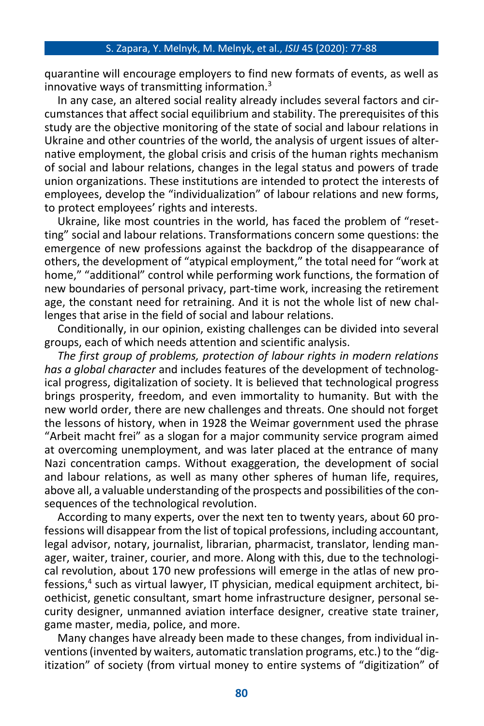quarantine will encourage employers to find new formats of events, as well as innovative ways of transmitting information.<sup>3</sup>

In any case, an altered social reality already includes several factors and circumstances that affect social equilibrium and stability. The prerequisites of this study are the objective monitoring of the state of social and labour relations in Ukraine and other countries of the world, the analysis of urgent issues of alternative employment, the global crisis and crisis of the human rights mechanism of social and labour relations, changes in the legal status and powers of trade union organizations. These institutions are intended to protect the interests of employees, develop the "individualization" of labour relations and new forms, to protect employees' rights and interests.

Ukraine, like most countries in the world, has faced the problem of "resetting" social and labour relations. Transformations concern some questions: the emergence of new professions against the backdrop of the disappearance of others, the development of "atypical employment," the total need for "work at home," "additional" control while performing work functions, the formation of new boundaries of personal privacy, part-time work, increasing the retirement age, the constant need for retraining. And it is not the whole list of new challenges that arise in the field of social and labour relations.

Conditionally, in our opinion, existing challenges can be divided into several groups, each of which needs attention and scientific analysis.

*The first group of problems, protection of labour rights in modern relations has a global character* and includes features of the development of technological progress, digitalization of society. It is believed that technological progress brings prosperity, freedom, and even immortality to humanity. But with the new world order, there are new challenges and threats. One should not forget the lessons of history, when in 1928 the Weimar government used the phrase "Arbeit macht frei" as a slogan for a major community service program aimed at overcoming unemployment, and was later placed at the entrance of many Nazi concentration camps. Without exaggeration, the development of social and labour relations, as well as many other spheres of human life, requires, above all, a valuable understanding of the prospects and possibilities of the consequences of the technological revolution.

According to many experts, over the next ten to twenty years, about 60 professions will disappear from the list of topical professions, including accountant, legal advisor, notary, journalist, librarian, pharmacist, translator, lending manager, waiter, trainer, courier, and more. Along with this, due to the technological revolution, about 170 new professions will emerge in the atlas of new professions,<sup>4</sup> such as virtual lawyer, IT physician, medical equipment architect, bioethicist, genetic consultant, smart home infrastructure designer, personal security designer, unmanned aviation interface designer, creative state trainer, game master, media, police, and more.

Many changes have already been made to these changes, from individual inventions (invented by waiters, automatic translation programs, etc.) to the "digitization" of society (from virtual money to entire systems of "digitization" of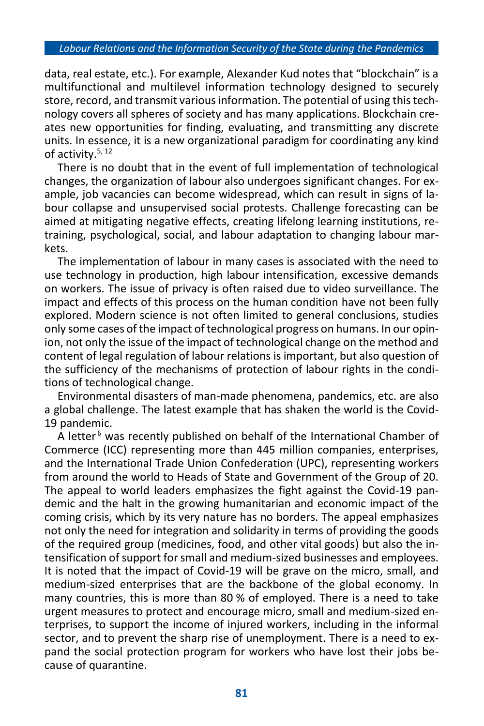#### *Labour Relations and the Information Security of the State during the Pandemics*

data, real estate, etc.). For example, Alexander Kud notes that "blockchain" is a multifunctional and multilevel information technology designed to securely store, record, and transmit various information. The potential of using this technology covers all spheres of society and has many applications. Blockchain creates new opportunities for finding, evaluating, and transmitting any discrete units. In essence, it is a new organizational paradigm for coordinating any kind of activity.<sup>5, 12</sup>

There is no doubt that in the event of full implementation of technological changes, the organization of labour also undergoes significant changes. For example, job vacancies can become widespread, which can result in signs of labour collapse and unsupervised social protests. Challenge forecasting can be aimed at mitigating negative effects, creating lifelong learning institutions, retraining, psychological, social, and labour adaptation to changing labour markets.

The implementation of labour in many cases is associated with the need to use technology in production, high labour intensification, excessive demands on workers. The issue of privacy is often raised due to video surveillance. The impact and effects of this process on the human condition have not been fully explored. Modern science is not often limited to general conclusions, studies only some cases of the impact of technological progress on humans. In our opinion, not only the issue of the impact of technological change on the method and content of legal regulation of labour relations is important, but also question of the sufficiency of the mechanisms of protection of labour rights in the conditions of technological change.

Environmental disasters of man-made phenomena, pandemics, etc. are also a global challenge. The latest example that has shaken the world is the Covid-19 pandemic.

A letter<sup>6</sup> was recently published on behalf of the International Chamber of Commerce (ICC) representing more than 445 million companies, enterprises, and the International Trade Union Confederation (UPC), representing workers from around the world to Heads of State and Government of the Group of 20. The appeal to world leaders emphasizes the fight against the Covid-19 pandemic and the halt in the growing humanitarian and economic impact of the coming crisis, which by its very nature has no borders. The appeal emphasizes not only the need for integration and solidarity in terms of providing the goods of the required group (medicines, food, and other vital goods) but also the intensification of support for small and medium-sized businesses and employees. It is noted that the impact of Covid-19 will be grave on the micro, small, and medium-sized enterprises that are the backbone of the global economy. In many countries, this is more than 80 % of employed. There is a need to take urgent measures to protect and encourage micro, small and medium-sized enterprises, to support the income of injured workers, including in the informal sector, and to prevent the sharp rise of unemployment. There is a need to expand the social protection program for workers who have lost their jobs because of quarantine.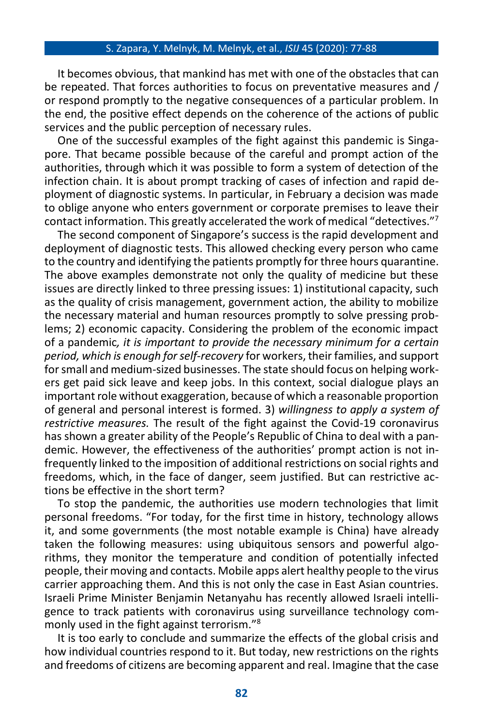It becomes obvious, that mankind has met with one of the obstacles that can be repeated. That forces authorities to focus on preventative measures and / or respond promptly to the negative consequences of a particular problem. In the end, the positive effect depends on the coherence of the actions of public services and the public perception of necessary rules.

One of the successful examples of the fight against this pandemic is Singapore. That became possible because of the careful and prompt action of the authorities, through which it was possible to form a system of detection of the infection chain. It is about prompt tracking of cases of infection and rapid deployment of diagnostic systems. In particular, in February a decision was made to oblige anyone who enters government or corporate premises to leave their contact information. This greatly accelerated the work of medical "detectives." 7

The second component of Singapore's success is the rapid development and deployment of diagnostic tests. This allowed checking every person who came to the country and identifying the patients promptly for three hours quarantine. The above examples demonstrate not only the quality of medicine but these issues are directly linked to three pressing issues: 1) institutional capacity, such as the quality of crisis management, government action, the ability to mobilize the necessary material and human resources promptly to solve pressing problems; 2) economic capacity. Considering the problem of the economic impact of a pandemic*, it is important to provide the necessary minimum for a certain period, which is enough for self-recovery* for workers, their families, and support for small and medium-sized businesses. The state should focus on helping workers get paid sick leave and keep jobs. In this context, social dialogue plays an important role without exaggeration, because of which a reasonable proportion of general and personal interest is formed. 3) *willingness to apply a system of restrictive measures.* The result of the fight against the Covid-19 coronavirus has shown a greater ability of the People's Republic of China to deal with a pandemic. However, the effectiveness of the authorities' prompt action is not infrequently linked to the imposition of additional restrictions on social rights and freedoms, which, in the face of danger, seem justified. But can restrictive actions be effective in the short term?

To stop the pandemic, the authorities use modern technologies that limit personal freedoms. "For today, for the first time in history, technology allows it, and some governments (the most notable example is China) have already taken the following measures: using ubiquitous sensors and powerful algorithms, they monitor the temperature and condition of potentially infected people, their moving and contacts. Mobile apps alert healthy people to the virus carrier approaching them. And this is not only the case in East Asian countries. Israeli Prime Minister Benjamin Netanyahu has recently allowed Israeli intelligence to track patients with coronavirus using surveillance technology commonly used in the fight against terrorism." 8

It is too early to conclude and summarize the effects of the global crisis and how individual countries respond to it. But today, new restrictions on the rights and freedoms of citizens are becoming apparent and real. Imagine that the case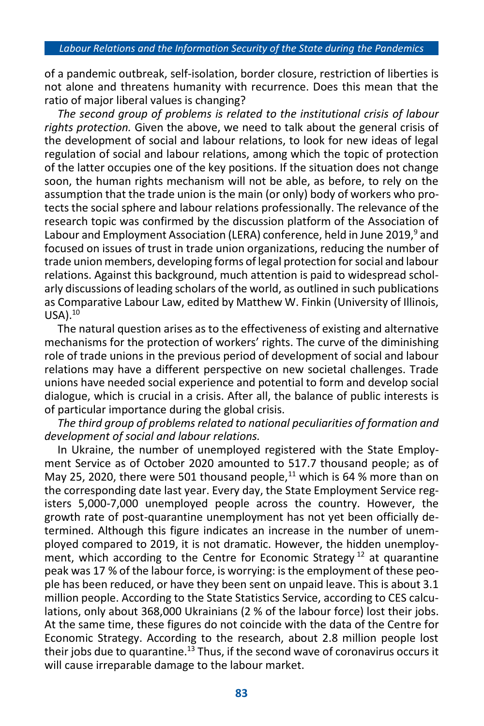of a pandemic outbreak, self-isolation, border closure, restriction of liberties is not alone and threatens humanity with recurrence. Does this mean that the ratio of major liberal values is changing?

*The second group of problems is related to the institutional crisis of labour rights protection.* Given the above, we need to talk about the general crisis of the development of social and labour relations, to look for new ideas of legal regulation of social and labour relations, among which the topic of protection of the latter occupies one of the key positions. If the situation does not change soon, the human rights mechanism will not be able, as before, to rely on the assumption that the trade union is the main (or only) body of workers who protects the social sphere and labour relations professionally. The relevance of the research topic was confirmed by the discussion platform of the Association of Labour and Employment Association (LERA) conference, held in June 2019,<sup>9</sup> and focused on issues of trust in trade union organizations, reducing the number of trade union members, developing forms of legal protection for social and labour relations. Against this background, much attention is paid to widespread scholarly discussions of leading scholars of the world, as outlined in such publications as Comparative Labour Law, edited by Matthew W. Finkin (University of Illinois,  $USA).<sup>10</sup>$ 

The natural question arises as to the effectiveness of existing and alternative mechanisms for the protection of workers' rights. The curve of the diminishing role of trade unions in the previous period of development of social and labour relations may have a different perspective on new societal challenges. Trade unions have needed social experience and potential to form and develop social dialogue, which is crucial in a crisis. After all, the balance of public interests is of particular importance during the global crisis.

*The third group of problems related to national peculiarities of formation and development of social and labour relations.* 

In Ukraine, the number of unemployed registered with the State Employment Service as of October 2020 amounted to 517.7 thousand people; as of May 25, 2020, there were 501 thousand people,<sup>11</sup> which is 64 % more than on the corresponding date last year. Every day, the State Employment Service registers 5,000-7,000 unemployed people across the country. However, the growth rate of post-quarantine unemployment has not yet been officially determined. Although this figure indicates an increase in the number of unemployed compared to 2019, it is not dramatic. However, the hidden unemployment, which according to the Centre for Economic Strategy  $12$  at quarantine peak was 17 % of the labour force, is worrying: is the employment of these people has been reduced, or have they been sent on unpaid leave. This is about 3.1 million people. According to the State Statistics Service, according to CES calculations, only about 368,000 Ukrainians (2 % of the labour force) lost their jobs. At the same time, these figures do not coincide with the data of the Centre for Economic Strategy. According to the research, about 2.8 million people lost their jobs due to quarantine.<sup>13</sup> Thus, if the second wave of coronavirus occurs it will cause irreparable damage to the labour market.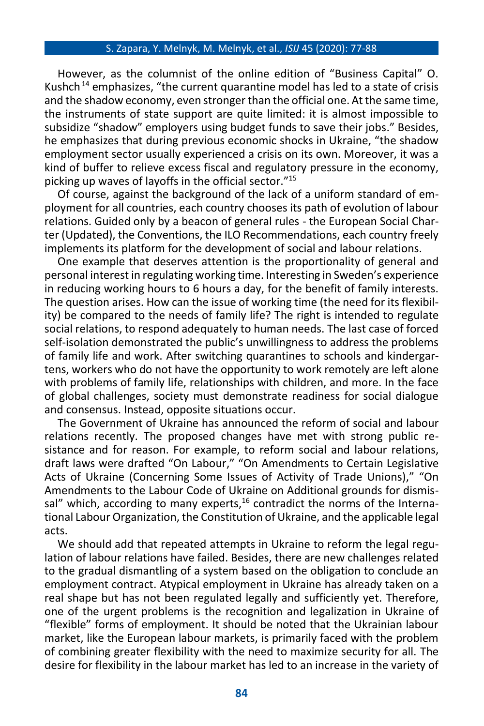However, as the columnist of the online edition of "Business Capital" O. Kushch<sup>14</sup> emphasizes, "the current quarantine model has led to a state of crisis and the shadow economy, even stronger than the official one. At the same time, the instruments of state support are quite limited: it is almost impossible to subsidize "shadow" employers using budget funds to save their jobs." Besides, he emphasizes that during previous economic shocks in Ukraine, "the shadow employment sector usually experienced a crisis on its own. Moreover, it was a kind of buffer to relieve excess fiscal and regulatory pressure in the economy, picking up waves of layoffs in the official sector." 15

Of course, against the background of the lack of a uniform standard of employment for all countries, each country chooses its path of evolution of labour relations. Guided only by a beacon of general rules - the European Social Charter (Updated), the Conventions, the ILO Recommendations, each country freely implements its platform for the development of social and labour relations.

One example that deserves attention is the proportionality of general and personal interest in regulating working time. Interesting in Sweden's experience in reducing working hours to 6 hours a day, for the benefit of family interests. The question arises. How can the issue of working time (the need for its flexibility) be compared to the needs of family life? The right is intended to regulate social relations, to respond adequately to human needs. The last case of forced self-isolation demonstrated the public's unwillingness to address the problems of family life and work. After switching quarantines to schools and kindergartens, workers who do not have the opportunity to work remotely are left alone with problems of family life, relationships with children, and more. In the face of global challenges, society must demonstrate readiness for social dialogue and consensus. Instead, opposite situations occur.

The Government of Ukraine has announced the reform of social and labour relations recently. The proposed changes have met with strong public resistance and for reason. For example, to reform social and labour relations, draft laws were drafted "On Labour," "On Amendments to Certain Legislative Acts of Ukraine (Concerning Some Issues of Activity of Trade Unions)," "On Amendments to the Labour Code of Ukraine on Additional grounds for dismissal" which, according to many experts, $16$  contradict the norms of the International Labour Organization, the Constitution of Ukraine, and the applicable legal acts.

We should add that repeated attempts in Ukraine to reform the legal regulation of labour relations have failed. Besides, there are new challenges related to the gradual dismantling of a system based on the obligation to conclude an employment contract. Atypical employment in Ukraine has already taken on a real shape but has not been regulated legally and sufficiently yet. Therefore, one of the urgent problems is the recognition and legalization in Ukraine of "flexible" forms of employment. It should be noted that the Ukrainian labour market, like the European labour markets, is primarily faced with the problem of combining greater flexibility with the need to maximize security for all. The desire for flexibility in the labour market has led to an increase in the variety of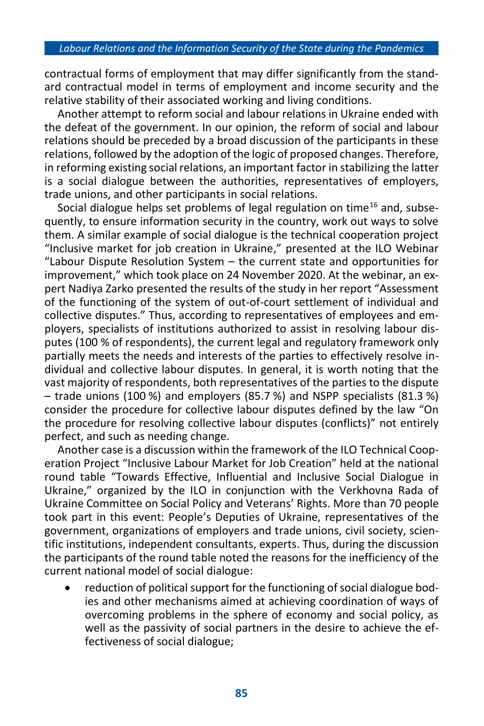contractual forms of employment that may differ significantly from the standard contractual model in terms of employment and income security and the relative stability of their associated working and living conditions.

Another attempt to reform social and labour relations in Ukraine ended with the defeat of the government. In our opinion, the reform of social and labour relations should be preceded by a broad discussion of the participants in these relations, followed by the adoption of the logic of proposed changes. Therefore, in reforming existing social relations, an important factor in stabilizing the latter is a social dialogue between the authorities, representatives of employers, trade unions, and other participants in social relations.

Social dialogue helps set problems of legal regulation on time<sup>16</sup> and, subsequently, to ensure information security in the country, work out ways to solve them. A similar example of social dialogue is the technical cooperation project "Inclusive market for job creation in Ukraine," presented at the ILO Webinar "Labour Dispute Resolution System – the current state and opportunities for improvement," which took place on 24 November 2020. At the webinar, an expert Nadiya Zarko presented the results of the study in her report "Assessment of the functioning of the system of out-of-court settlement of individual and collective disputes." Thus, according to representatives of employees and employers, specialists of institutions authorized to assist in resolving labour disputes (100 % of respondents), the current legal and regulatory framework only partially meets the needs and interests of the parties to effectively resolve individual and collective labour disputes. In general, it is worth noting that the vast majority of respondents, both representatives of the parties to the dispute – trade unions (100 %) and employers (85.7 %) and NSPP specialists (81.3 %) consider the procedure for collective labour disputes defined by the law "On the procedure for resolving collective labour disputes (conflicts)" not entirely perfect, and such as needing change.

Another case is a discussion within the framework of the ILO Technical Cooperation Project "Inclusive Labour Market for Job Creation" held at the national round table "Towards Effective, Influential and Inclusive Social Dialogue in Ukraine," organized by the ILO in conjunction with the Verkhovna Rada of Ukraine Committee on Social Policy and Veterans' Rights. More than 70 people took part in this event: People's Deputies of Ukraine, representatives of the government, organizations of employers and trade unions, civil society, scientific institutions, independent consultants, experts. Thus, during the discussion the participants of the round table noted the reasons for the inefficiency of the current national model of social dialogue:

• reduction of political support for the functioning of social dialogue bodies and other mechanisms aimed at achieving coordination of ways of overcoming problems in the sphere of economy and social policy, as well as the passivity of social partners in the desire to achieve the effectiveness of social dialogue;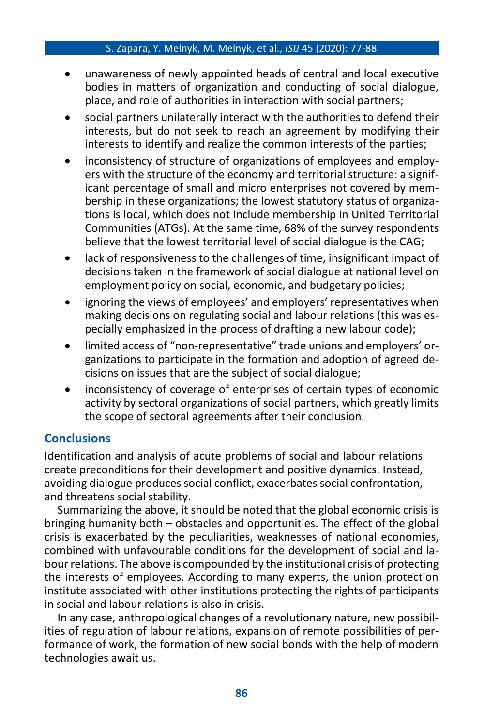- unawareness of newly appointed heads of central and local executive bodies in matters of organization and conducting of social dialogue, place, and role of authorities in interaction with social partners;
- social partners unilaterally interact with the authorities to defend their interests, but do not seek to reach an agreement by modifying their interests to identify and realize the common interests of the parties;
- inconsistency of structure of organizations of employees and employers with the structure of the economy and territorial structure: a significant percentage of small and micro enterprises not covered by membership in these organizations; the lowest statutory status of organizations is local, which does not include membership in United Territorial Communities (ATGs). At the same time, 68% of the survey respondents believe that the lowest territorial level of social dialogue is the CAG;
- lack of responsiveness to the challenges of time, insignificant impact of decisions taken in the framework of social dialogue at national level on employment policy on social, economic, and budgetary policies;
- ignoring the views of employees' and employers' representatives when making decisions on regulating social and labour relations (this was especially emphasized in the process of drafting a new labour code);
- limited access of "non-representative" trade unions and employers' organizations to participate in the formation and adoption of agreed decisions on issues that are the subject of social dialogue;
- inconsistency of coverage of enterprises of certain types of economic activity by sectoral organizations of social partners, which greatly limits the scope of sectoral agreements after their conclusion.

## **Conclusions**

Identification and analysis of acute problems of social and labour relations create preconditions for their development and positive dynamics. Instead, avoiding dialogue produces social conflict, exacerbates social confrontation, and threatens social stability.

Summarizing the above, it should be noted that the global economic crisis is bringing humanity both – obstacles and opportunities. The effect of the global crisis is exacerbated by the peculiarities, weaknesses of national economies, combined with unfavourable conditions for the development of social and labour relations. The above is compounded by the institutional crisis of protecting the interests of employees. According to many experts, the union protection institute associated with other institutions protecting the rights of participants in social and labour relations is also in crisis.

In any case, anthropological changes of a revolutionary nature, new possibilities of regulation of labour relations, expansion of remote possibilities of performance of work, the formation of new social bonds with the help of modern technologies await us.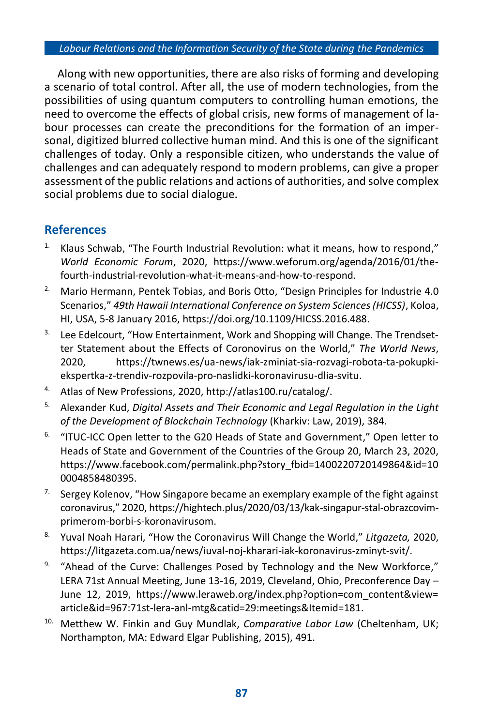#### *Labour Relations and the Information Security of the State during the Pandemics*

Along with new opportunities, there are also risks of forming and developing a scenario of total control. After all, the use of modern technologies, from the possibilities of using quantum computers to controlling human emotions, the need to overcome the effects of global crisis, new forms of management of labour processes can create the preconditions for the formation of an impersonal, digitized blurred collective human mind. And this is one of the significant challenges of today. Only a responsible citizen, who understands the value of challenges and can adequately respond to modern problems, can give a proper assessment of the public relations and actions of authorities, and solve complex social problems due to social dialogue.

## **References**

- Klaus Schwab, "The Fourth Industrial Revolution: what it means, how to respond," *World Economic Forum*, 2020, https://www.weforum.org/agenda/2016/01/thefourth-industrial-revolution-what-it-means-and-how-to-respond.
- <sup>2.</sup> Mario Hermann, Pentek Tobias, and Boris Otto, "Design Principles for Industrie 4.0 Scenarios," *49th Hawaii International Conference on System Sciences (HICSS)*, Koloa, HI, USA, 5-8 January 2016, https://doi.org/10.1109/HICSS.2016.488.
- <sup>3.</sup> Lee Edelcourt, "How Entertainment, Work and Shopping will Change. The Trendsetter Statement about the Effects of Coronovirus on the World," *The World News*, 2020, https://twnews.es/ua-news/iak-zminiat-sia-rozvagi-robota-ta-pokupkiekspertka-z-trendiv-rozpovila-pro-naslidki-koronavirusu-dlia-svitu.
- 4. Atlas of New Professions, 2020, http://atlas100.ru/catalog/.
- 5. Alexander Kud, *Digital Assets and Their Economic and Legal Regulation in the Light of the Development of Blockchain Technology* (Kharkiv: Law, 2019), 384.
- <sup>6.</sup> "ITUC-ICC Open letter to the G20 Heads of State and Government," Open letter to Heads of State and Government of the Countries of the Group 20, March 23, 2020, [https://www.facebook.com/permalink.php?story\\_fbid=14002207201](https://www.facebook.com/permalink.php?story_fbid=1400220720)49864&id=10 0004858480395.
- <sup>7.</sup> Sergey Kolenov, "How Singapore became an exemplary example of the fight against coronavirus," 2020[, https://hightech.plus/2020/03/13/kak-singapur-stal-obrazcovim](https://hightech.plus/2020/03/13/kak-singapur-stal-obrazcovim-)primerom-borbi-s-koronavirusom.
- 8. Yuval Noah Harari, "How the Coronavirus Will Change the World," *Litgazeta,* 2020, https://litgazeta.com.ua/news/iuval-noj-kharari-iak-koronavirus-zminyt-svit/.
- <sup>9.</sup> "Ahead of the Curve: Challenges Posed by Technology and the New Workforce," LERA 71st Annual Meeting, June 13-16, 2019, Cleveland, Ohio, Preconference Day – June 12, 2019, [https://www.leraweb.org/index.php?option=com\\_content&view=](https://www.leraweb.org/index.php?option=com_content&view=) article&id=967:71st-lera-anl-mtg&catid=29:meetings&Itemid=181.
- 10. Metthew W. Finkin and Guy Mundlak, *Comparative Labor Law* (Cheltenham, UK; Northampton, MA: Edward Elgar Publishing, 2015), 491.